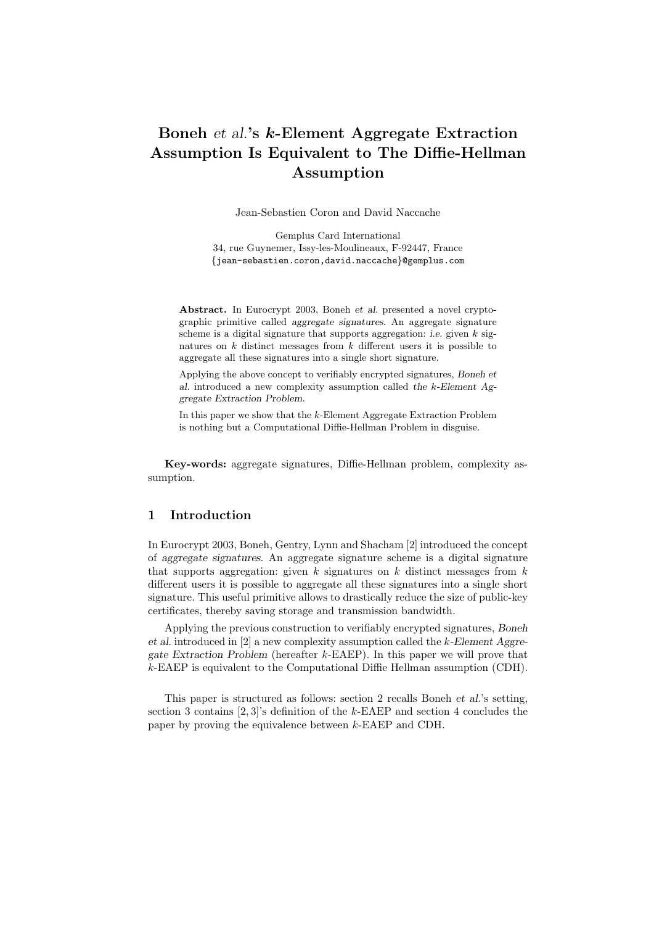# Boneh et al.'s k-Element Aggregate Extraction Assumption Is Equivalent to The Diffie-Hellman Assumption

Jean-Sebastien Coron and David Naccache

Gemplus Card International 34, rue Guynemer, Issy-les-Moulineaux, F-92447, France {jean-sebastien.coron,david.naccache}@gemplus.com

Abstract. In Eurocrypt 2003, Boneh et al. presented a novel cryptographic primitive called aggregate signatures. An aggregate signature scheme is a digital signature that supports aggregation: *i.e.* given  $k$  signatures on  $k$  distinct messages from  $k$  different users it is possible to aggregate all these signatures into a single short signature.

Applying the above concept to verifiably encrypted signatures, Boneh et al. introduced a new complexity assumption called the k-Element Aggregate Extraction Problem.

In this paper we show that the  $k$ -Element Aggregate Extraction Problem is nothing but a Computational Diffie-Hellman Problem in disguise.

Key-words: aggregate signatures, Diffie-Hellman problem, complexity assumption.

## 1 Introduction

In Eurocrypt 2003, Boneh, Gentry, Lynn and Shacham [2] introduced the concept of aggregate signatures. An aggregate signature scheme is a digital signature that supports aggregation: given  $k$  signatures on  $k$  distinct messages from  $k$ different users it is possible to aggregate all these signatures into a single short signature. This useful primitive allows to drastically reduce the size of public-key certificates, thereby saving storage and transmission bandwidth.

Applying the previous construction to verifiably encrypted signatures, Boneh et al. introduced in  $[2]$  a new complexity assumption called the k-Element Aggregate Extraction Problem (hereafter k-EAEP). In this paper we will prove that k-EAEP is equivalent to the Computational Diffie Hellman assumption (CDH).

This paper is structured as follows: section 2 recalls Boneh et al.'s setting, section 3 contains  $[2, 3]$ 's definition of the k-EAEP and section 4 concludes the paper by proving the equivalence between k-EAEP and CDH.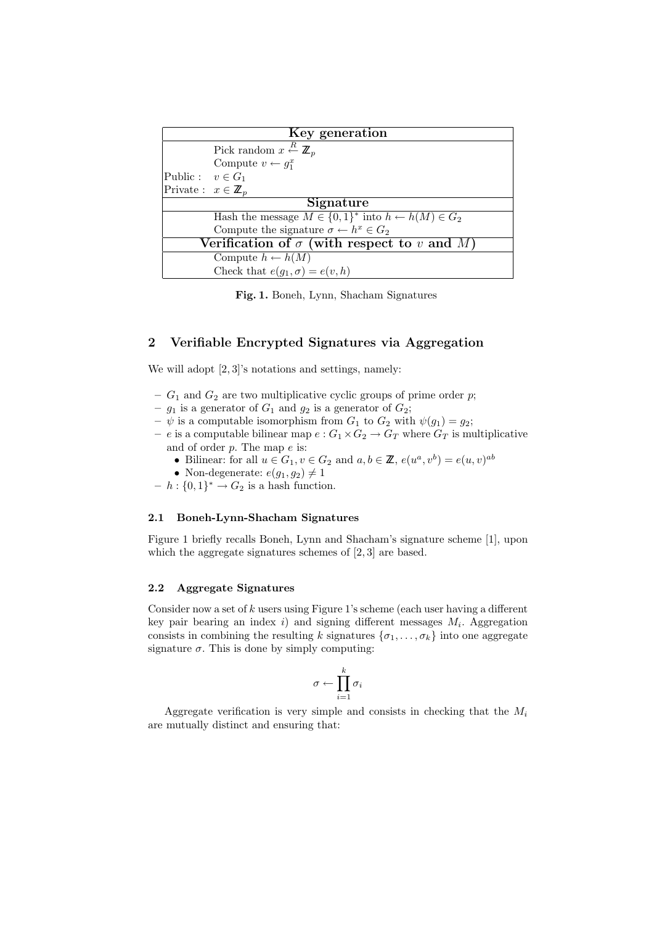| Key generation                                     |                                                                     |
|----------------------------------------------------|---------------------------------------------------------------------|
|                                                    | Pick random $x \stackrel{R}{\leftarrow} \mathbb{Z}_p$               |
|                                                    | Compute $v \leftarrow g_1^x$                                        |
| Public : $v \in G_1$                               |                                                                     |
| Private: $x \in \mathbb{Z}_p$                      |                                                                     |
| Signature                                          |                                                                     |
|                                                    | Hash the message $M \in \{0,1\}^*$ into $h \leftarrow h(M) \in G_2$ |
|                                                    | Compute the signature $\sigma \leftarrow h^x \in G_2$               |
| Verification of $\sigma$ (with respect to v and M) |                                                                     |
|                                                    | Compute $h \leftarrow h(M)$                                         |
|                                                    | Check that $e(g_1, \sigma) = e(v, h)$                               |

Fig. 1. Boneh, Lynn, Shacham Signatures

## 2 Verifiable Encrypted Signatures via Aggregation

We will adopt  $[2, 3]'s$  notations and settings, namely:

- $G_1$  and  $G_2$  are two multiplicative cyclic groups of prime order p;
- $g_1$  is a generator of  $G_1$  and  $g_2$  is a generator of  $G_2$ ;
- $-\psi$  is a computable isomorphism from  $G_1$  to  $G_2$  with  $\psi(g_1) = g_2$ ;
- e is a computable bilinear map  $e: G_1 \times G_2 \to G_T$  where  $G_T$  is multiplicative and of order  $p$ . The map  $e$  is:
	- Bilinear: for all  $u \in G_1, v \in G_2$  and  $a, b \in \mathbb{Z}$ ,  $e(u^a, v^b) = e(u, v)^{ab}$
	- Non-degenerate:  $e(g_1, g_2) \neq 1$
- $h : \{0,1\}^* \to G_2$  is a hash function.

#### 2.1 Boneh-Lynn-Shacham Signatures

Figure 1 briefly recalls Boneh, Lynn and Shacham's signature scheme [1], upon which the aggregate signatures schemes of [2, 3] are based.

#### 2.2 Aggregate Signatures

Consider now a set of  $k$  users using Figure 1's scheme (each user having a different key pair bearing an index  $i$ ) and signing different messages  $M_i$ . Aggregation consists in combining the resulting k signatures  $\{\sigma_1, \ldots, \sigma_k\}$  into one aggregate signature  $\sigma$ . This is done by simply computing:

$$
\sigma \leftarrow \prod_{i=1}^k \sigma_i
$$

Aggregate verification is very simple and consists in checking that the  $M_i$ are mutually distinct and ensuring that: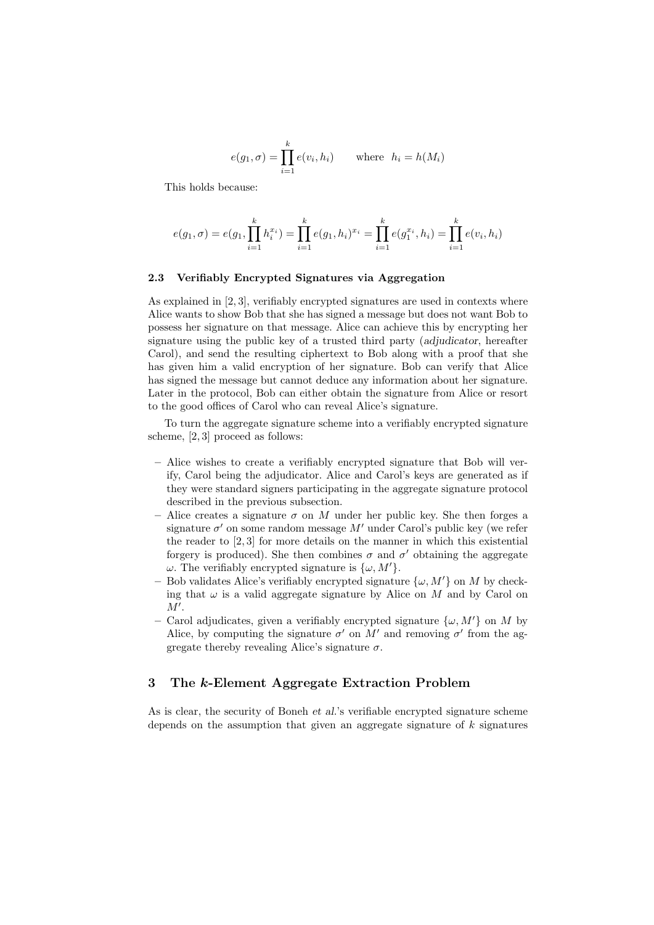$$
e(g_1, \sigma) = \prod_{i=1}^{k} e(v_i, h_i) \quad \text{where } h_i = h(M_i)
$$

This holds because:

$$
e(g_1, \sigma) = e(g_1, \prod_{i=1}^k h_i^{x_i}) = \prod_{i=1}^k e(g_1, h_i)^{x_i} = \prod_{i=1}^k e(g_1^{x_i}, h_i) = \prod_{i=1}^k e(v_i, h_i)
$$

#### 2.3 Verifiably Encrypted Signatures via Aggregation

As explained in [2, 3], verifiably encrypted signatures are used in contexts where Alice wants to show Bob that she has signed a message but does not want Bob to possess her signature on that message. Alice can achieve this by encrypting her signature using the public key of a trusted third party (adjudicator, hereafter Carol), and send the resulting ciphertext to Bob along with a proof that she has given him a valid encryption of her signature. Bob can verify that Alice has signed the message but cannot deduce any information about her signature. Later in the protocol, Bob can either obtain the signature from Alice or resort to the good offices of Carol who can reveal Alice's signature.

To turn the aggregate signature scheme into a verifiably encrypted signature scheme, [2, 3] proceed as follows:

- Alice wishes to create a verifiably encrypted signature that Bob will verify, Carol being the adjudicator. Alice and Carol's keys are generated as if they were standard signers participating in the aggregate signature protocol described in the previous subsection.
- Alice creates a signature  $\sigma$  on M under her public key. She then forges a signature  $\sigma'$  on some random message  $M'$  under Carol's public key (we refer the reader to  $(2,3)$  for more details on the manner in which this existential forgery is produced). She then combines  $\sigma$  and  $\sigma'$  obtaining the aggregate ω. The verifiably encrypted signature is  $\{\omega, M'\}.$
- Bob validates Alice's verifiably encrypted signature  $\{\omega, M'\}$  on M by checking that  $\omega$  is a valid aggregate signature by Alice on M and by Carol on  $M'.$
- Carol adjudicates, given a verifiably encrypted signature  $\{\omega, M'\}$  on M by Alice, by computing the signature  $\sigma'$  on M' and removing  $\sigma'$  from the aggregate thereby revealing Alice's signature  $\sigma$ .

### 3 The k-Element Aggregate Extraction Problem

As is clear, the security of Boneh et al.'s verifiable encrypted signature scheme depends on the assumption that given an aggregate signature of  $k$  signatures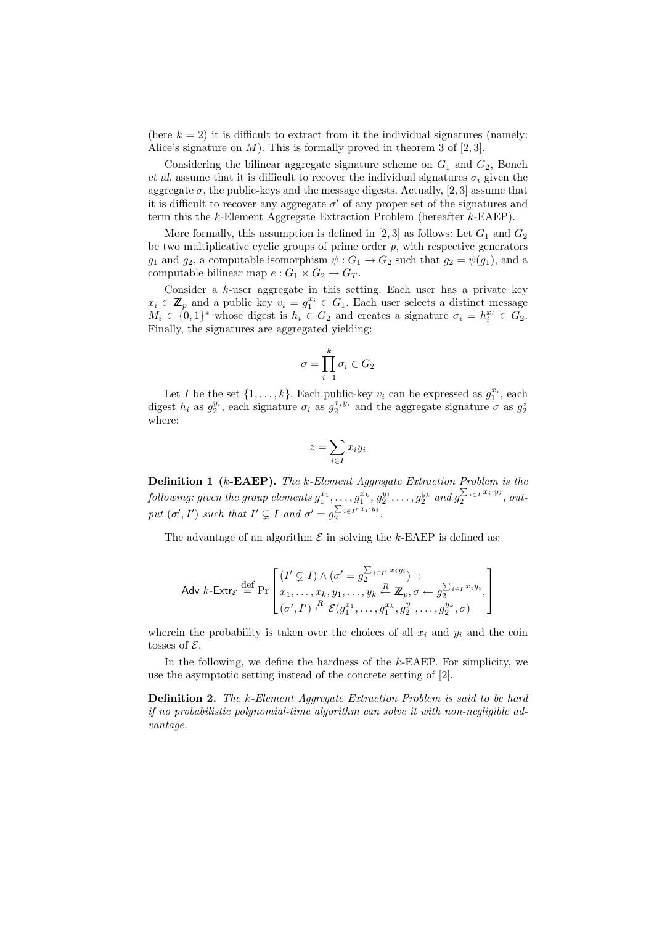(here  $k = 2$ ) it is difficult to extract from it the individual signatures (namely: Alice's signature on  $M$ ). This is formally proved in theorem 3 of  $[2,3]$ .

Considering the bilinear aggregate signature scheme on  $G_1$  and  $G_2$ , Boneh et al. assume that it is difficult to recover the individual signatures  $\sigma_i$  given the aggregate  $\sigma$ , the public-keys and the message digests. Actually, [2, 3] assume that it is difficult to recover any aggregate  $\sigma'$  of any proper set of the signatures and term this the k-Element Aggregate Extraction Problem (hereafter k-EAEP).

More formally, this assumption is defined in [2, 3] as follows: Let  $G_1$  and  $G_2$ be two multiplicative cyclic groups of prime order  $p$ , with respective generators  $g_1$  and  $g_2$ , a computable isomorphism  $\psi: G_1 \to G_2$  such that  $g_2 = \psi(g_1)$ , and a computable bilinear map  $e: G_1 \times G_2 \to G_T$ .

Consider a k-user aggregate in this setting. Each user has a private key  $x_i \in \mathbb{Z}_p$  and a public key  $v_i = g_1^{x_i} \in G_1$ . Each user selects a distinct message  $M_i \in \{0,1\}^*$  whose digest is  $h_i \in G_2$  and creates a signature  $\sigma_i = h_i^{x_i} \in G_2$ . Finally, the signatures are aggregated yielding:

$$
\sigma = \prod_{i=1}^k \sigma_i \in G_2
$$

Let I be the set  $\{1, \ldots, k\}$ . Each public-key  $v_i$  can be expressed as  $g_1^{x_i}$ , each digest  $h_i$  as  $g_2^{y_i}$ , each signature  $\sigma_i$  as  $g_2^{x_iy_i}$  and the aggregate signature  $\sigma$  as  $g_2^2$ where:

$$
z = \sum_{i \in I} x_i y_i
$$

**Definition 1** (k-EAEP). The k-Element Aggregate Extraction Problem is the  $\emph{following: given the group elements } g_1^{x_1},\ldots,g_1^{x_k},g_2^{y_1},\ldots,g_2^{y_k} \text{ and } g_2^{\sum_{i\in I} x_i\cdot y_i}, \text{ out-}$ put  $(\sigma', I')$  such that  $I' \subsetneq I$  and  $\sigma' = g_2^{\sum_{i \in I'} x_i \cdot y_i}$ .

The advantage of an algorithm  $\mathcal E$  in solving the  $k$ -EAEP is defined as:

$$
\text{Adv } k\text{-}\mathsf{Extr}_{\mathcal{E}} \stackrel{\text{def}}{=} \Pr\left[\begin{matrix} (I' \subsetneq I) \land (\sigma' = g_2^{\sum_{i \in I'} x_i y_i}) & \vdots \\ x_1, \dots, x_k, y_1, \dots, y_k & \stackrel{R}{\leftarrow} \mathbb{Z}_p, \sigma \leftarrow g_2^{\sum_{i \in I} x_i y_i}, \\ (\sigma', I') & \stackrel{R}{\leftarrow} \mathcal{E}(g_1^{x_1}, \dots, g_1^{x_k}, g_2^{y_1}, \dots, g_2^{y_k}, \sigma) \end{matrix}\right]\right]
$$

wherein the probability is taken over the choices of all  $x_i$  and  $y_i$  and the coin tosses of  $\mathcal{E}$ .

In the following, we define the hardness of the k-EAEP. For simplicity, we use the asymptotic setting instead of the concrete setting of [2].

**Definition 2.** The k-Element Aggregate Extraction Problem is said to be hard if no probabilistic polynomial-time algorithm can solve it with non-negligible advantage.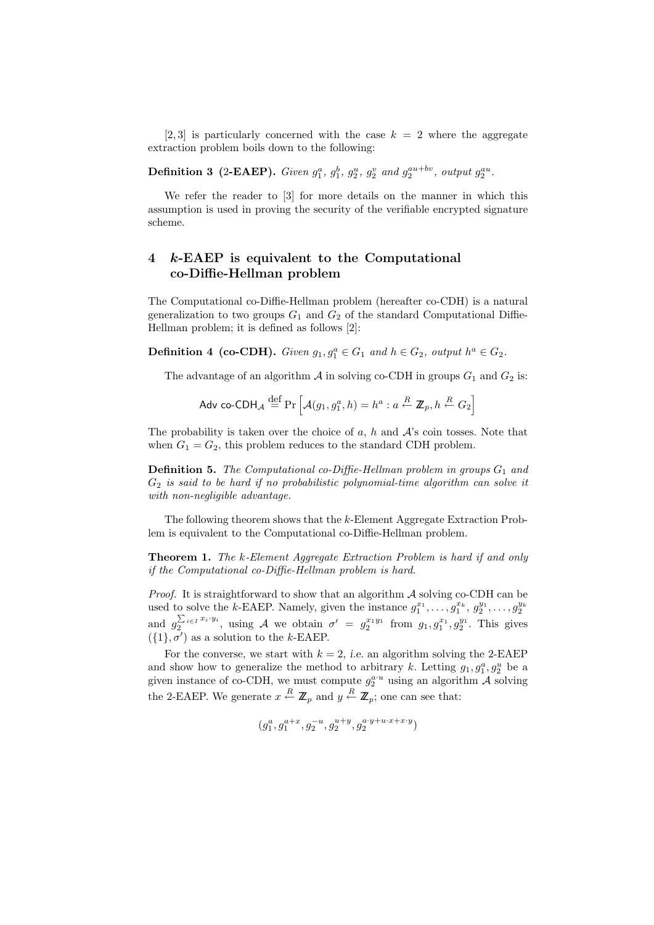[2,3] is particularly concerned with the case  $k = 2$  where the aggregate extraction problem boils down to the following:

**Definition 3 (2-EAEP).** Given  $g_1^a$ ,  $g_1^b$ ,  $g_2^u$ ,  $g_2^v$  and  $g_2^{au+bv}$ , output  $g_2^{au}$ .

We refer the reader to [3] for more details on the manner in which this assumption is used in proving the security of the verifiable encrypted signature scheme.

# 4 k-EAEP is equivalent to the Computational co-Diffie-Hellman problem

The Computational co-Diffie-Hellman problem (hereafter co-CDH) is a natural generalization to two groups  $G_1$  and  $G_2$  of the standard Computational Diffie-Hellman problem; it is defined as follows [2]:

**Definition 4 (co-CDH).** Given  $g_1, g_1^a \in G_1$  and  $h \in G_2$ , output  $h^a \in G_2$ .

The advantage of an algorithm  $\mathcal A$  in solving co-CDH in groups  $G_1$  and  $G_2$  is:

$$
\mathsf{Adv\ co}\text{-}\mathsf{CDH}_{\mathcal{A}} \stackrel{\text{def}}{=} \Pr\left[\mathcal{A}(g_1, g_1^a, h) = h^a : a \stackrel{R}{\leftarrow} \mathbb{Z}_p, h \stackrel{R}{\leftarrow} G_2\right]
$$

The probability is taken over the choice of  $a, h$  and  $A$ 's coin tosses. Note that when  $G_1 = G_2$ , this problem reduces to the standard CDH problem.

**Definition 5.** The Computational co-Diffie-Hellman problem in groups  $G_1$  and  $G_2$  is said to be hard if no probabilistic polynomial-time algorithm can solve it with non-negligible advantage.

The following theorem shows that the k-Element Aggregate Extraction Problem is equivalent to the Computational co-Diffie-Hellman problem.

Theorem 1. The k-Element Aggregate Extraction Problem is hard if and only if the Computational co-Diffie-Hellman problem is hard.

*Proof.* It is straightforward to show that an algorithm  $A$  solving co-CDH can be used to solve the k-EAEP. Namely, given the instance  $g_1^{x_1}, \ldots, g_1^{x_k}, g_2^{y_1}, \ldots, g_2^{y_k}$ and  $g_2^{\sum_{i\in I} x_i \cdot y_i}$ , using A we obtain  $\sigma' = g_2^{x_1y_1}$  from  $g_1, g_1^{x_1}, g_2^{y_1}$ . This gives  $({1}, \sigma')$  as a solution to the k-EAEP.

For the converse, we start with  $k = 2$ , *i.e.* an algorithm solving the 2-EAEP and show how to generalize the method to arbitrary k. Letting  $g_1, g_1^a, g_2^u$  be a given instance of co-CDH, we must compute  $g_2^{a,u}$  using an algorithm A solving the 2-EAEP. We generate  $x \stackrel{R}{\leftarrow} \mathbb{Z}_p$  and  $y \stackrel{R}{\leftarrow} \mathbb{Z}_p$ ; one can see that:

$$
(g_1^a, g_1^{a+x}, g_2^{-u}, g_2^{u+y}, g_2^{a\cdot y + u \cdot x + x \cdot y})
$$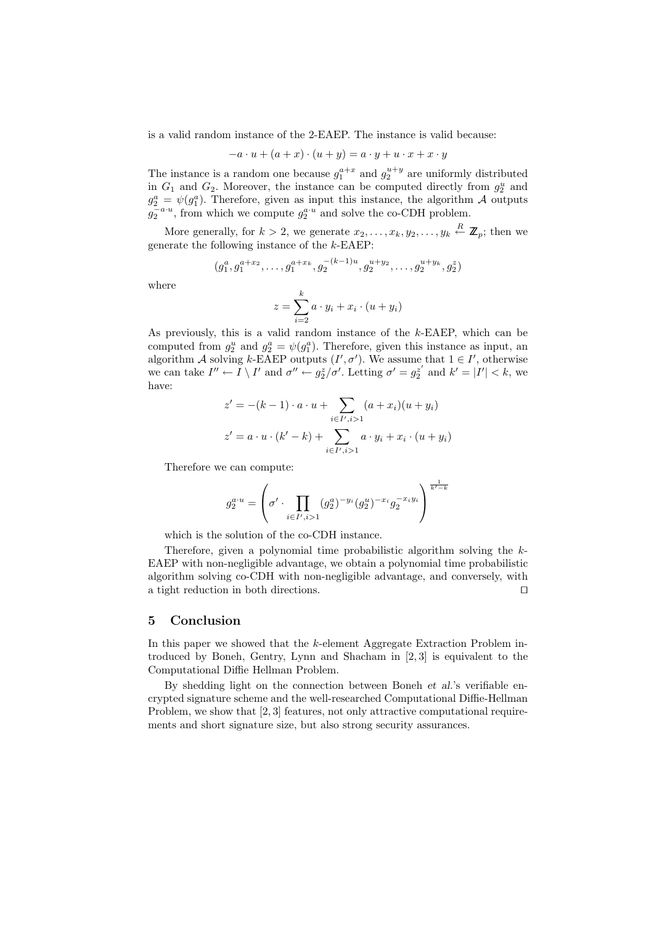is a valid random instance of the 2-EAEP. The instance is valid because:

$$
-a \cdot u + (a+x) \cdot (u+y) = a \cdot y + u \cdot x + x \cdot y
$$

The instance is a random one because  $g_1^{a+x}$  and  $g_2^{u+y}$  are uniformly distributed in  $G_1$  and  $G_2$ . Moreover, the instance can be computed directly from  $g_2^u$  and  $g_2^a = \psi(g_1^a)$ . Therefore, given as input this instance, the algorithm A outputs  $g_2^{-a\cdot u}$ , from which we compute  $g_2^{a\cdot u}$  and solve the co-CDH problem.

More generally, for  $k > 2$ , we generate  $x_2, \ldots, x_k, y_2, \ldots, y_k \stackrel{R}{\leftarrow} \mathbb{Z}_p$ ; then we generate the following instance of the k-EAEP:

$$
(g_1^a, g_1^{a+x_2}, \ldots, g_1^{a+x_k}, g_2^{-(k-1)u}, g_2^{u+y_2}, \ldots, g_2^{u+y_k}, g_2^z)
$$

where

$$
z = \sum_{i=2}^{k} a \cdot y_i + x_i \cdot (u + y_i)
$$

As previously, this is a valid random instance of the k-EAEP, which can be computed from  $g_2^u$  and  $g_2^a = \psi(g_1^a)$ . Therefore, given this instance as input, an algorithm A solving k-EAEP outputs  $(I', \sigma')$ . We assume that  $1 \in I'$ , otherwise we can take  $I'' \leftarrow I \setminus I'$  and  $\sigma'' \leftarrow g_2^z/\sigma'$ . Letting  $\sigma' = g_2^{z'}$  and  $k' = |I'| < k$ , we have:

$$
z' = -(k-1) \cdot a \cdot u + \sum_{i \in I', i > 1} (a + x_i)(u + y_i)
$$
\n
$$
z' = a \cdot u \cdot (k' - k) + \sum_{i \in I', i > 1} a \cdot y_i + x_i \cdot (u + y_i)
$$

Therefore we can compute:

$$
g_2^{a\cdot u}=\left(\sigma'\cdot\prod_{i\in I',i>1}(g_2^a)^{-y_i}(g_2^u)^{-x_i}g_2^{-x_iy_i}\right)^{\frac{1}{k'-k}}
$$

which is the solution of the co-CDH instance.

Therefore, given a polynomial time probabilistic algorithm solving the k-EAEP with non-negligible advantage, we obtain a polynomial time probabilistic algorithm solving co-CDH with non-negligible advantage, and conversely, with a tight reduction in both directions.  $\Box$ 

## 5 Conclusion

In this paper we showed that the k-element Aggregate Extraction Problem introduced by Boneh, Gentry, Lynn and Shacham in [2, 3] is equivalent to the Computational Diffie Hellman Problem.

By shedding light on the connection between Boneh et al.'s verifiable encrypted signature scheme and the well-researched Computational Diffie-Hellman Problem, we show that [2,3] features, not only attractive computational requirements and short signature size, but also strong security assurances.